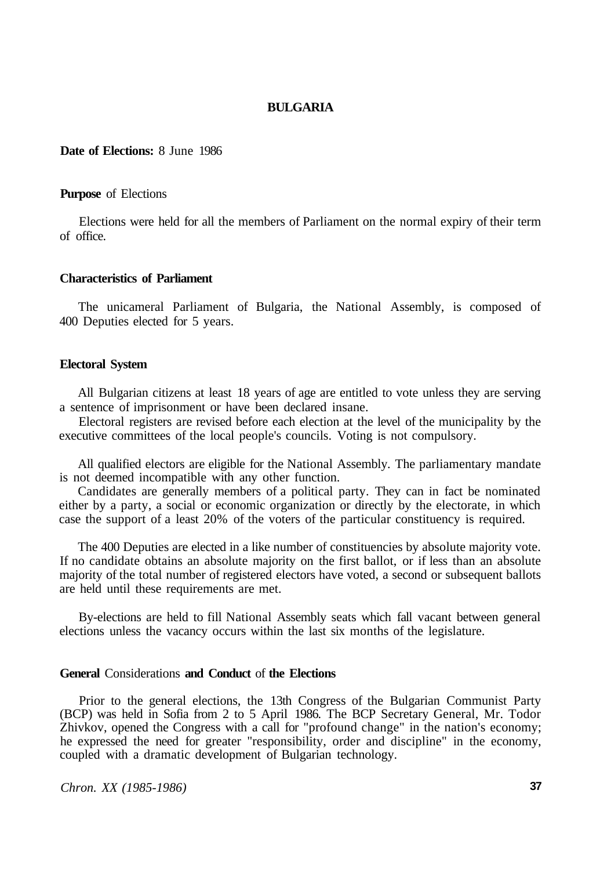# **BULGARIA**

### **Date of Elections:** 8 June 1986

### **Purpose** of Elections

Elections were held for all the members of Parliament on the normal expiry of their term of office.

#### **Characteristics of Parliament**

The unicameral Parliament of Bulgaria, the National Assembly, is composed of 400 Deputies elected for 5 years.

# **Electoral System**

All Bulgarian citizens at least 18 years of age are entitled to vote unless they are serving a sentence of imprisonment or have been declared insane.

Electoral registers are revised before each election at the level of the municipality by the executive committees of the local people's councils. Voting is not compulsory.

All qualified electors are eligible for the National Assembly. The parliamentary mandate is not deemed incompatible with any other function.

Candidates are generally members of a political party. They can in fact be nominated either by a party, a social or economic organization or directly by the electorate, in which case the support of a least 20% of the voters of the particular constituency is required.

The 400 Deputies are elected in a like number of constituencies by absolute majority vote. If no candidate obtains an absolute majority on the first ballot, or if less than an absolute majority of the total number of registered electors have voted, a second or subsequent ballots are held until these requirements are met.

By-elections are held to fill National Assembly seats which fall vacant between general elections unless the vacancy occurs within the last six months of the legislature.

#### **General** Considerations **and Conduct** of **the Elections**

Prior to the general elections, the 13th Congress of the Bulgarian Communist Party (BCP) was held in Sofia from 2 to 5 April 1986. The BCP Secretary General, Mr. Todor Zhivkov, opened the Congress with a call for "profound change" in the nation's economy; he expressed the need for greater "responsibility, order and discipline" in the economy, coupled with a dramatic development of Bulgarian technology.

*Chron. XX (1985-1986)* **37**